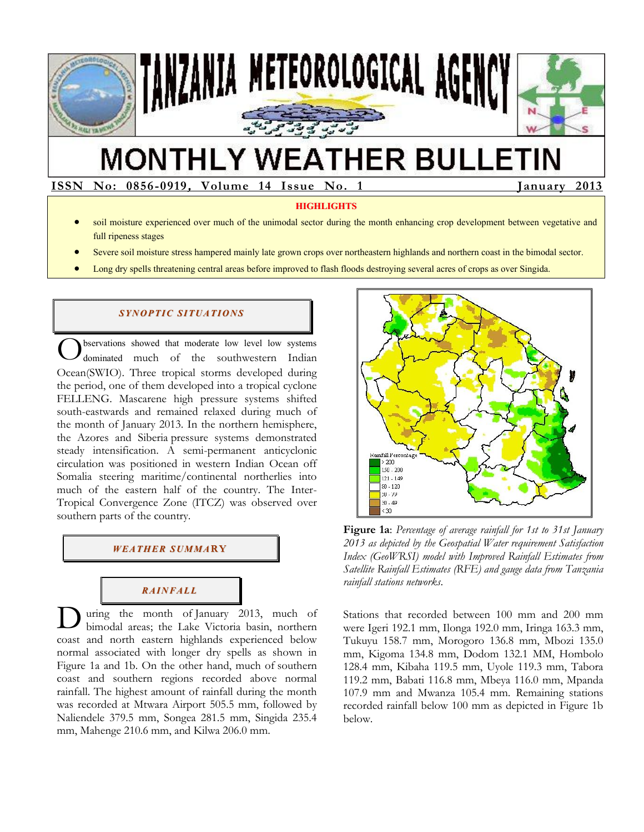

# **MONTHLY WEATHER BULLETIN**

**ISSN ISSN No: 0856-0919, Volume 14 Issue No. 1 January 2013** 

#### **HIGHLIGHTS**

- soil moisture experienced over much of the unimodal sector during the month enhancing crop development between vegetative and full ripeness stages
- Severe soil moisture stress hampered mainly late grown crops over northeastern highlands and northern coast in the bimodal sector.
- Long dry spells threatening central areas before improved to flash floods destroying several acres of crops as over Singida.

#### *SYNOPTIC SITUATIONS*

bservations showed that moderate low level low systems dominated much of the southwestern Indian Ocean(SWIO). Three tropical storms developed during the period, one of them developed into a tropical cyclone FELLENG. Mascarene high pressure systems shifted south-eastwards and remained relaxed during much of the month of January 2013. In the northern hemisphere, the Azores and Siberia pressure systems demonstrated steady intensification. A semi-permanent anticyclonic circulation was positioned in western Indian Ocean off Somalia steering maritime/continental northerlies into much of the eastern half of the country. The Inter-Tropical Convergence Zone (ITCZ) was observed over southern parts of the country. O

### *WEATHER SUMMA***RY**

## *RAINFALL*

uring the month of January 2013, much of bimodal areas; the Lake Victoria basin, northern coast and north eastern highlands experienced below normal associated with longer dry spells as shown in Figure 1a and 1b. On the other hand, much of southern coast and southern regions recorded above normal rainfall. The highest amount of rainfall during the month was recorded at Mtwara Airport 505.5 mm, followed by Naliendele 379.5 mm, Songea 281.5 mm, Singida 235.4 mm, Mahenge 210.6 mm, and Kilwa 206.0 mm. D



**Figure 1a**: *Percentage of average rainfall for 1st to 31st January 2013 as depicted by the Geospatial Water requirement Satisfaction Index (GeoWRSI) model with Improved Rainfall Estimates from Satellite Rainfall Estimates (RFE) and gauge data from Tanzania rainfall stations networks*.

Stations that recorded between 100 mm and 200 mm were Igeri 192.1 mm, Ilonga 192.0 mm, Iringa 163.3 mm, Tukuyu 158.7 mm, Morogoro 136.8 mm, Mbozi 135.0 mm, Kigoma 134.8 mm, Dodom 132.1 MM, Hombolo 128.4 mm, Kibaha 119.5 mm, Uyole 119.3 mm, Tabora 119.2 mm, Babati 116.8 mm, Mbeya 116.0 mm, Mpanda 107.9 mm and Mwanza 105.4 mm. Remaining stations recorded rainfall below 100 mm as depicted in Figure 1b below.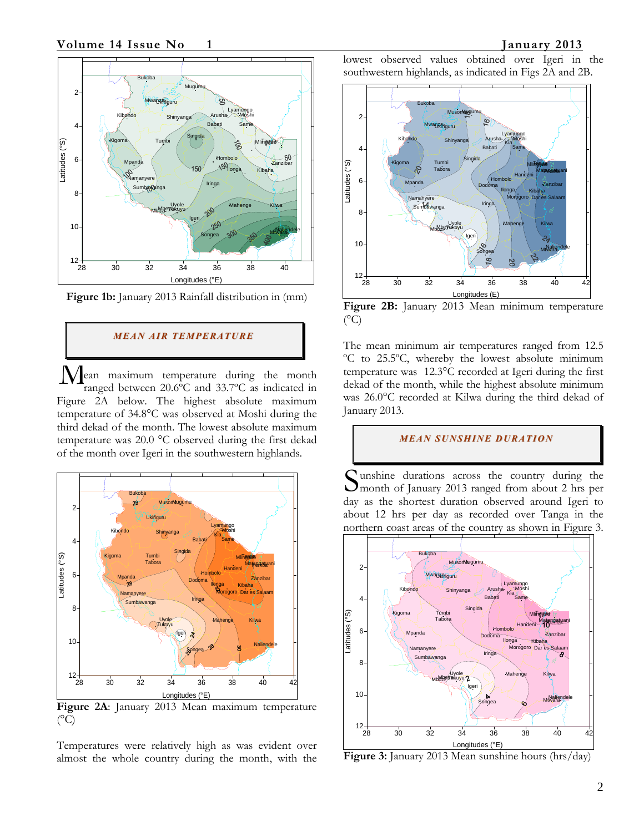

**Figure 1b:** January 2013 Rainfall distribution in (mm)

#### *MEAN AIR TEMPERATURE*

ean maximum temperature during the month ranged between 20.6ºC and 33.7ºC as indicated in Figure 2A below. The highest absolute maximum temperature of 34.8°C was observed at Moshi during the third dekad of the month. The lowest absolute maximum temperature was 20.0 °C observed during the first dekad of the month over Igeri in the southwestern highlands.  $\overline{\mathbf{M}}_{\!\scriptscriptstyle\mathrm{r}}^{\!\scriptscriptstyle\mathrm{e}}$ 



**Figure 2A**: January 2013 Mean maximum temperature  $(^{\circ}C)$ 

Temperatures were relatively high as was evident over almost the whole country during the month, with the lowest observed values obtained over Igeri in the southwestern highlands, as indicated in Figs 2A and 2B.



**Figure 2B:** January 2013 Mean minimum temperature  $(^{\circ}C)$ 

The mean minimum air temperatures ranged from 12.5 ºC to 25.5ºC, whereby the lowest absolute minimum temperature was 12.3°C recorded at Igeri during the first dekad of the month, while the highest absolute minimum was 26.0°C recorded at Kilwa during the third dekad of January 2013.

#### *MEAN SUNSHINE DURATION*

unshine durations across the country during the Sunshine durations across the country during the month of January 2013 ranged from about 2 hrs per day as the shortest duration observed around Igeri to about 12 hrs per day as recorded over Tanga in the northern coast areas of the country as shown in Figure 3.



**Figure 3:** January 2013 Mean sunshine hours (hrs/day)